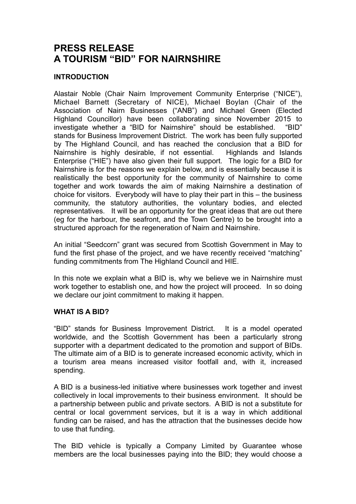# **PRESS RELEASE A TOURISM "BID" FOR NAIRNSHIRE**

## **INTRODUCTION**

Alastair Noble (Chair Nairn Improvement Community Enterprise ("NICE"), Michael Barnett (Secretary of NICE), Michael Boylan (Chair of the Association of Nairn Businesses ("ANB") and Michael Green (Elected Highland Councillor) have been collaborating since November 2015 to investigate whether a "BID for Nairnshire" should be established. "BID" stands for Business Improvement District. The work has been fully supported by The Highland Council, and has reached the conclusion that a BID for Nairnshire is highly desirable, if not essential. Highlands and Islands Enterprise ("HIE") have also given their full support. The logic for a BID for Nairnshire is for the reasons we explain below, and is essentially because it is realistically the best opportunity for the community of Nairnshire to come together and work towards the aim of making Nairnshire a destination of choice for visitors. Everybody will have to play their part in this – the business community, the statutory authorities, the voluntary bodies, and elected representatives. It will be an opportunity for the great ideas that are out there (eg for the harbour, the seafront, and the Town Centre) to be brought into a structured approach for the regeneration of Nairn and Nairnshire.

An initial "Seedcorn" grant was secured from Scottish Government in May to fund the first phase of the project, and we have recently received "matching" funding commitments from The Highland Council and HIE.

In this note we explain what a BID is, why we believe we in Nairnshire must work together to establish one, and how the project will proceed. In so doing we declare our joint commitment to making it happen.

### **WHAT IS A BID?**

"BID" stands for Business Improvement District. It is a model operated worldwide, and the Scottish Government has been a particularly strong supporter with a department dedicated to the promotion and support of BIDs. The ultimate aim of a BID is to generate increased economic activity, which in a tourism area means increased visitor footfall and, with it, increased spending.

A BID is a business-led initiative where businesses work together and invest collectively in local improvements to their business environment. It should be a partnership between public and private sectors. A BID is not a substitute for central or local government services, but it is a way in which additional funding can be raised, and has the attraction that the businesses decide how to use that funding.

The BID vehicle is typically a Company Limited by Guarantee whose members are the local businesses paying into the BID; they would choose a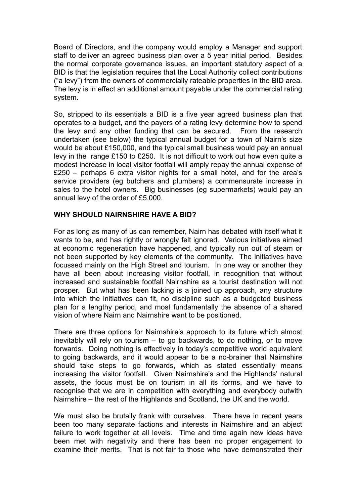Board of Directors, and the company would employ a Manager and support staff to deliver an agreed business plan over a 5 year initial period. Besides the normal corporate governance issues, an important statutory aspect of a BID is that the legislation requires that the Local Authority collect contributions ("a levy") from the owners of commercially rateable properties in the BID area. The levy is in effect an additional amount payable under the commercial rating system.

So, stripped to its essentials a BID is a five year agreed business plan that operates to a budget, and the payers of a rating levy determine how to spend the levy and any other funding that can be secured. From the research undertaken (see below) the typical annual budget for a town of Nairn's size would be about £150,000, and the typical small business would pay an annual levy in the range £150 to £250. It is not difficult to work out how even quite a modest increase in local visitor footfall will amply repay the annual expense of £250 – perhaps 6 extra visitor nights for a small hotel, and for the area's service providers (eg butchers and plumbers) a commensurate increase in sales to the hotel owners. Big businesses (eg supermarkets) would pay an annual levy of the order of £5,000.

## **WHY SHOULD NAIRNSHIRE HAVE A BID?**

For as long as many of us can remember, Nairn has debated with itself what it wants to be, and has rightly or wrongly felt ignored. Various initiatives aimed at economic regeneration have happened, and typically run out of steam or not been supported by key elements of the community. The initiatives have focussed mainly on the High Street and tourism. In one way or another they have all been about increasing visitor footfall, in recognition that without increased and sustainable footfall Nairnshire as a tourist destination will not prosper. But what has been lacking is a joined up approach, any structure into which the initiatives can fit, no discipline such as a budgeted business plan for a lengthy period, and most fundamentally the absence of a shared vision of where Nairn and Nairnshire want to be positioned.

There are three options for Nairnshire's approach to its future which almost inevitably will rely on tourism – to go backwards, to do nothing, or to move forwards. Doing nothing is effectively in today's competitive world equivalent to going backwards, and it would appear to be a no-brainer that Nairnshire should take steps to go forwards, which as stated essentially means increasing the visitor footfall. Given Nairnshire's and the Highlands' natural assets, the focus must be on tourism in all its forms, and we have to recognise that we are in competition with everything and everybody outwith Nairnshire – the rest of the Highlands and Scotland, the UK and the world.

We must also be brutally frank with ourselves. There have in recent years been too many separate factions and interests in Nairnshire and an abject failure to work together at all levels. Time and time again new ideas have been met with negativity and there has been no proper engagement to examine their merits. That is not fair to those who have demonstrated their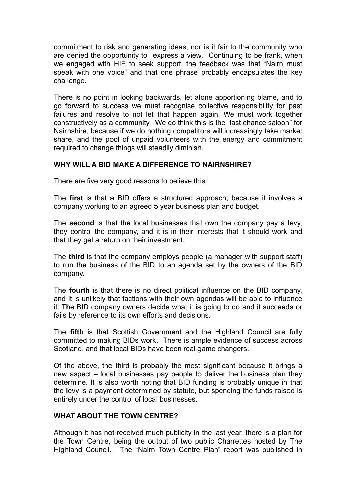commitment to risk and generating ideas, nor is it fair to the community who are denied the opportunity to express a view. Continuing to be frank, when we engaged with HIE to seek support, the feedback was that "Nairn must speak with one voice" and that one phrase probably encapsulates the key challenge.

There is no point in looking backwards, let alone apportioning blame, and to go forward to success we must recognise collective responsibility for past failures and resolve to not let that happen again. We must work together constructively as a community. We do think this is the "last chance saloon" for Nairnshire, because if we do nothing competitors will increasingly take market share, and the pool of unpaid volunteers with the energy and commitment required to change things will steadily diminish.

### **WHY WILL A BID MAKE A DIFFERENCE TO NAIRNSHIRE?**

There are five very good reasons to believe this.

The **first** is that a BID offers a structured approach, because it involves a company working to an agreed 5 year business plan and budget.

The **second** is that the local businesses that own the company pay a levy, they control the company, and it is in their interests that it should work and that they get a return on their investment.

The **third** is that the company employs people (a manager with support staff) to run the business of the BID to an agenda set by the owners of the BID company.

The **fourth** is that there is no direct political influence on the BID company, and it is unlikely that factions with their own agendas will be able to influence it. The BID company owners decide what it is going to do and it succeeds or fails by reference to its own efforts and decisions.

The **fifth** is that Scottish Government and the Highland Council are fully committed to making BIDs work. There is ample evidence of success across Scotland, and that local BIDs have been real game changers.

Of the above, the third is probably the most significant because it brings a new aspect – local businesses pay people to deliver the business plan they determine. It is also worth noting that BID funding is probably unique in that the levy is a payment determined by statute, but spending the funds raised is entirely under the control of local businesses.

### **WHAT ABOUT THE TOWN CENTRE?**

Although it has not received much publicity in the last year, there is a plan for the Town Centre, being the output of two public Charrettes hosted by The Highland Council. The "Nairn Town Centre Plan" report was published in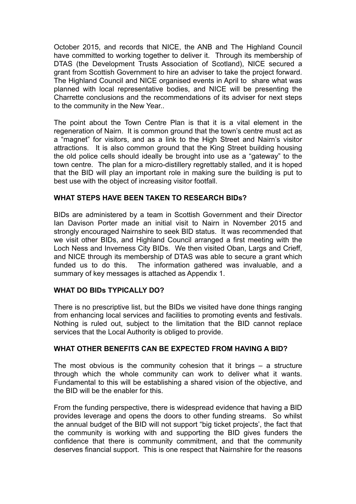October 2015, and records that NICE, the ANB and The Highland Council have committed to working together to deliver it. Through its membership of DTAS (the Development Trusts Association of Scotland), NICE secured a grant from Scottish Government to hire an adviser to take the project forward. The Highland Council and NICE organised events in April to share what was planned with local representative bodies, and NICE will be presenting the Charrette conclusions and the recommendations of its adviser for next steps to the community in the New Year..

The point about the Town Centre Plan is that it is a vital element in the regeneration of Nairn. It is common ground that the town's centre must act as a "magnet" for visitors, and as a link to the High Street and Nairn's visitor attractions. It is also common ground that the King Street building housing the old police cells should ideally be brought into use as a "gateway" to the town centre. The plan for a micro-distillery regrettably stalled, and it is hoped that the BID will play an important role in making sure the building is put to best use with the object of increasing visitor footfall.

## **WHAT STEPS HAVE BEEN TAKEN TO RESEARCH BIDs?**

BIDs are administered by a team in Scottish Government and their Director Ian Davison Porter made an initial visit to Nairn in November 2015 and strongly encouraged Nairnshire to seek BID status. It was recommended that we visit other BIDs, and Highland Council arranged a first meeting with the Loch Ness and Inverness City BIDs. We then visited Oban, Largs and Crieff, and NICE through its membership of DTAS was able to secure a grant which funded us to do this. The information gathered was invaluable, and a summary of key messages is attached as Appendix 1.

## **WHAT DO BIDs TYPICALLY DO?**

There is no prescriptive list, but the BIDs we visited have done things ranging from enhancing local services and facilities to promoting events and festivals. Nothing is ruled out, subject to the limitation that the BID cannot replace services that the Local Authority is obliged to provide.

### **WHAT OTHER BENEFITS CAN BE EXPECTED FROM HAVING A BID?**

The most obvious is the community cohesion that it brings – a structure through which the whole community can work to deliver what it wants. Fundamental to this will be establishing a shared vision of the objective, and the BID will be the enabler for this.

From the funding perspective, there is widespread evidence that having a BID provides leverage and opens the doors to other funding streams. So whilst the annual budget of the BID will not support "big ticket projects', the fact that the community is working with and supporting the BID gives funders the confidence that there is community commitment, and that the community deserves financial support. This is one respect that Nairnshire for the reasons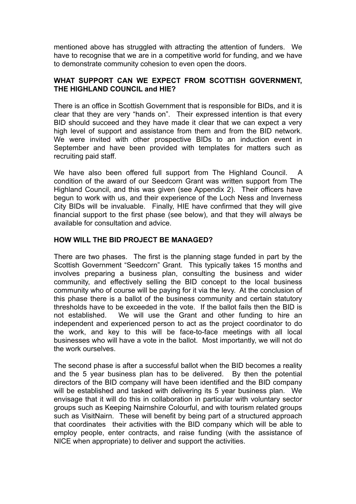mentioned above has struggled with attracting the attention of funders. We have to recognise that we are in a competitive world for funding, and we have to demonstrate community cohesion to even open the doors.

## **WHAT SUPPORT CAN WE EXPECT FROM SCOTTISH GOVERNMENT, THE HIGHLAND COUNCIL and HIE?**

There is an office in Scottish Government that is responsible for BIDs, and it is clear that they are very "hands on". Their expressed intention is that every BID should succeed and they have made it clear that we can expect a very high level of support and assistance from them and from the BID network. We were invited with other prospective BIDs to an induction event in September and have been provided with templates for matters such as recruiting paid staff.

We have also been offered full support from The Highland Council. A condition of the award of our Seedcorn Grant was written support from The Highland Council, and this was given (see Appendix 2). Their officers have begun to work with us, and their experience of the Loch Ness and Inverness City BIDs will be invaluable. Finally, HIE have confirmed that they will give financial support to the first phase (see below), and that they will always be available for consultation and advice.

## **HOW WILL THE BID PROJECT BE MANAGED?**

There are two phases. The first is the planning stage funded in part by the Scottish Government "Seedcorn" Grant. This typically takes 15 months and involves preparing a business plan, consulting the business and wider community, and effectively selling the BID concept to the local business community who of course will be paying for it via the levy. At the conclusion of this phase there is a ballot of the business community and certain statutory thresholds have to be exceeded in the vote. If the ballot fails then the BID is not established. We will use the Grant and other funding to hire an independent and experienced person to act as the project coordinator to do the work, and key to this will be face-to-face meetings with all local businesses who will have a vote in the ballot. Most importantly, we will not do the work ourselves.

The second phase is after a successful ballot when the BID becomes a reality and the 5 year business plan has to be delivered. By then the potential directors of the BID company will have been identified and the BID company will be established and tasked with delivering its 5 year business plan. We envisage that it will do this in collaboration in particular with voluntary sector groups such as Keeping Nairnshire Colourful, and with tourism related groups such as VisitNairn. These will benefit by being part of a structured approach that coordinates their activities with the BID company which will be able to employ people, enter contracts, and raise funding (with the assistance of NICE when appropriate) to deliver and support the activities.